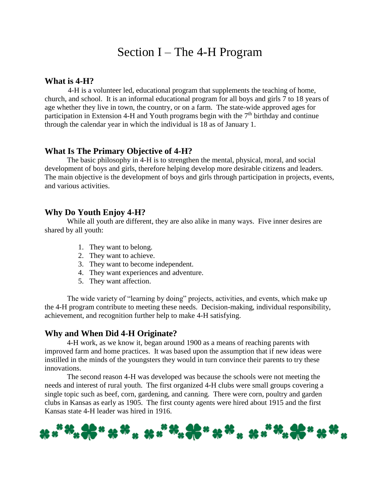# Section I – The 4-H Program

#### **What is 4-H?**

4-H is a volunteer led, educational program that supplements the teaching of home, church, and school. It is an informal educational program for all boys and girls 7 to 18 years of age whether they live in town, the country, or on a farm. The state-wide approved ages for participation in Extension 4-H and Youth programs begin with the  $7<sup>th</sup>$  birthday and continue through the calendar year in which the individual is 18 as of January 1.

#### **What Is The Primary Objective of 4-H?**

The basic philosophy in 4-H is to strengthen the mental, physical, moral, and social development of boys and girls, therefore helping develop more desirable citizens and leaders. The main objective is the development of boys and girls through participation in projects, events, and various activities.

#### **Why Do Youth Enjoy 4-H?**

While all youth are different, they are also alike in many ways. Five inner desires are shared by all youth:

- 1. They want to belong.
- 2. They want to achieve.
- 3. They want to become independent.
- 4. They want experiences and adventure.
- 5. They want affection.

The wide variety of "learning by doing" projects, activities, and events, which make up the 4-H program contribute to meeting these needs. Decision-making, individual responsibility, achievement, and recognition further help to make 4-H satisfying.

#### **Why and When Did 4-H Originate?**

4-H work, as we know it, began around 1900 as a means of reaching parents with improved farm and home practices. It was based upon the assumption that if new ideas were instilled in the minds of the youngsters they would in turn convince their parents to try these innovations.

The second reason 4-H was developed was because the schools were not meeting the needs and interest of rural youth. The first organized 4-H clubs were small groups covering a single topic such as beef, corn, gardening, and canning. There were corn, poultry and garden clubs in Kansas as early as 1905. The first county agents were hired about 1915 and the first Kansas state 4-H leader was hired in 1916.

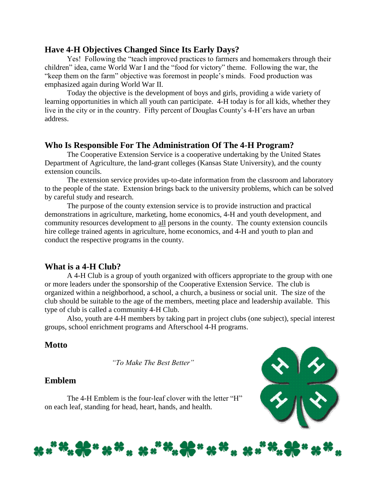#### **Have 4-H Objectives Changed Since Its Early Days?**

Yes! Following the "teach improved practices to farmers and homemakers through their children" idea, came World War I and the "food for victory" theme. Following the war, the "keep them on the farm" objective was foremost in people's minds. Food production was emphasized again during World War II.

Today the objective is the development of boys and girls, providing a wide variety of learning opportunities in which all youth can participate. 4-H today is for all kids, whether they live in the city or in the country. Fifty percent of Douglas County's 4-H'ers have an urban address.

#### **Who Is Responsible For The Administration Of The 4-H Program?**

The Cooperative Extension Service is a cooperative undertaking by the United States Department of Agriculture, the land-grant colleges (Kansas State University), and the county extension councils.

The extension service provides up-to-date information from the classroom and laboratory to the people of the state. Extension brings back to the university problems, which can be solved by careful study and research.

The purpose of the county extension service is to provide instruction and practical demonstrations in agriculture, marketing, home economics, 4-H and youth development, and community resources development to all persons in the county. The county extension councils hire college trained agents in agriculture, home economics, and 4-H and youth to plan and conduct the respective programs in the county.

# **What is a 4-H Club?**

A 4-H Club is a group of youth organized with officers appropriate to the group with one or more leaders under the sponsorship of the Cooperative Extension Service. The club is organized within a neighborhood, a school, a church, a business or social unit. The size of the club should be suitable to the age of the members, meeting place and leadership available. This type of club is called a community 4-H Club.

Also, youth are 4-H members by taking part in project clubs (one subject), special interest groups, school enrichment programs and Afterschool 4-H programs.

# **Motto**

*"To Make The Best Better"*

#### **Emblem**

The 4-H Emblem is the four-leaf clover with the letter "H" on each leaf, standing for head, heart, hands, and health.



#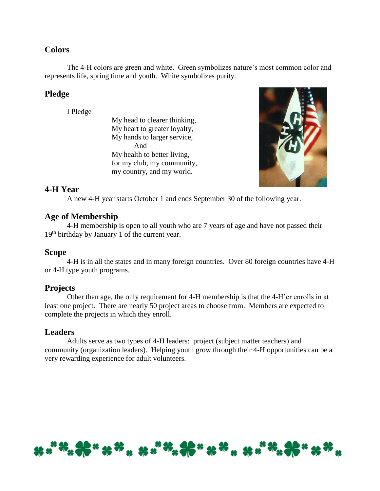# **Colors**

The 4-H colors are green and white. Green symbolizes nature's most common color and represents life, spring time and youth. White symbolizes purity.

# **Pledge**

I Pledge

My head to clearer thinking, My heart to greater loyalty, My hands to larger service, And My health to better living, for my club, my community, my country, and my world.



# **4-H Year**

A new 4-H year starts October 1 and ends September 30 of the following year.

# **Age of Membership**

4-H membership is open to all youth who are 7 years of age and have not passed their 19th birthday by January 1 of the current year.

#### **Scope**

4-H is in all the states and in many foreign countries. Over 80 foreign countries have 4-H or 4-H type youth programs.

# **Projects**

Other than age, the only requirement for 4-H membership is that the 4-H'er enrolls in at least one project. There are nearly 50 project areas to choose from. Members are expected to complete the projects in which they enroll.

# **Leaders**

Adults serve as two types of 4-H leaders: project (subject matter teachers) and community (organization leaders). Helping youth grow through their 4-H opportunities can be a very rewarding experience for adult volunteers.